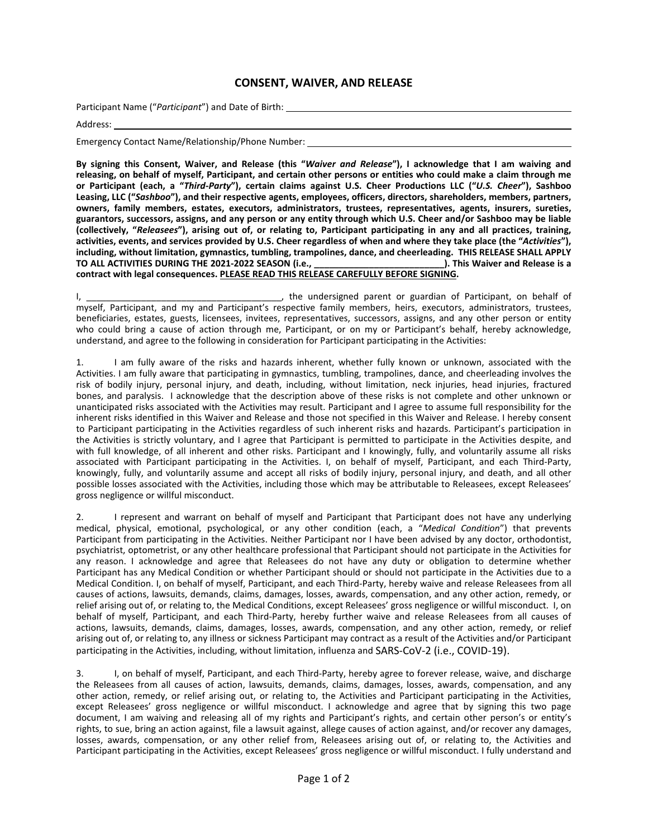## **CONSENT, WAIVER, AND RELEASE**

Participant Name ("*Participant*") and Date of Birth:

Address:

Emergency Contact Name/Relationship/Phone Number:

**By signing this Consent, Waiver, and Release (this "***Waiver and Release***"), I acknowledge that I am waiving and releasing, on behalf of myself, Participant, and certain other persons or entities who could make a claim through me or Participant (each, a "***Third-Party***"), certain claims against U.S. Cheer Productions LLC ("***U.S. Cheer***"), Sashboo Leasing, LLC ("***Sashboo***"), and their respective agents, employees, officers, directors, shareholders, members, partners, owners, family members, estates, executors, administrators, trustees, representatives, agents, insurers, sureties, guarantors, successors, assigns, and any person or any entity through which U.S. Cheer and/or Sashboo may be liable (collectively, "***Releasees***"), arising out of, or relating to, Participant participating in any and all practices, training, activities, events, and services provided by U.S. Cheer regardless of when and where they take place (the "***Activities***"), including, without limitation, gymnastics, tumbling, trampolines, dance, and cheerleading. THIS RELEASE SHALL APPLY TO ALL ACTIVITIES DURING THE 2021-2022 SEASON (i.e., \_\_\_\_\_\_\_\_\_\_\_\_\_\_\_\_\_\_\_\_\_\_\_\_\_\_). This Waiver and Release is a contract with legal consequences. PLEASE READ THIS RELEASE CAREFULLY BEFORE SIGNING.** 

I, \_\_\_\_\_\_\_\_\_\_\_\_\_\_\_\_\_\_\_\_\_\_\_\_\_\_\_\_\_\_\_\_\_\_\_\_\_\_\_, the undersigned parent or guardian of Participant, on behalf of myself, Participant, and my and Participant's respective family members, heirs, executors, administrators, trustees, beneficiaries, estates, guests, licensees, invitees, representatives, successors, assigns, and any other person or entity who could bring a cause of action through me, Participant, or on my or Participant's behalf, hereby acknowledge, understand, and agree to the following in consideration for Participant participating in the Activities:

1. I am fully aware of the risks and hazards inherent, whether fully known or unknown, associated with the Activities. I am fully aware that participating in gymnastics, tumbling, trampolines, dance, and cheerleading involves the risk of bodily injury, personal injury, and death, including, without limitation, neck injuries, head injuries, fractured bones, and paralysis. I acknowledge that the description above of these risks is not complete and other unknown or unanticipated risks associated with the Activities may result. Participant and I agree to assume full responsibility for the inherent risks identified in this Waiver and Release and those not specified in this Waiver and Release. I hereby consent to Participant participating in the Activities regardless of such inherent risks and hazards. Participant's participation in the Activities is strictly voluntary, and I agree that Participant is permitted to participate in the Activities despite, and with full knowledge, of all inherent and other risks. Participant and I knowingly, fully, and voluntarily assume all risks associated with Participant participating in the Activities. I, on behalf of myself, Participant, and each Third-Party, knowingly, fully, and voluntarily assume and accept all risks of bodily injury, personal injury, and death, and all other possible losses associated with the Activities, including those which may be attributable to Releasees, except Releasees' gross negligence or willful misconduct.

2. I represent and warrant on behalf of myself and Participant that Participant does not have any underlying medical, physical, emotional, psychological, or any other condition (each, a "*Medical Condition*") that prevents Participant from participating in the Activities. Neither Participant nor I have been advised by any doctor, orthodontist, psychiatrist, optometrist, or any other healthcare professional that Participant should not participate in the Activities for any reason. I acknowledge and agree that Releasees do not have any duty or obligation to determine whether Participant has any Medical Condition or whether Participant should or should not participate in the Activities due to a Medical Condition. I, on behalf of myself, Participant, and each Third-Party, hereby waive and release Releasees from all causes of actions, lawsuits, demands, claims, damages, losses, awards, compensation, and any other action, remedy, or relief arising out of, or relating to, the Medical Conditions, except Releasees' gross negligence or willful misconduct. I, on behalf of myself, Participant, and each Third-Party, hereby further waive and release Releasees from all causes of actions, lawsuits, demands, claims, damages, losses, awards, compensation, and any other action, remedy, or relief arising out of, or relating to, any illness or sickness Participant may contract as a result of the Activities and/or Participant participating in the Activities, including, without limitation, influenza and SARS-CoV-2 (i.e., COVID-19).

3. I, on behalf of myself, Participant, and each Third-Party, hereby agree to forever release, waive, and discharge the Releasees from all causes of action, lawsuits, demands, claims, damages, losses, awards, compensation, and any other action, remedy, or relief arising out, or relating to, the Activities and Participant participating in the Activities, except Releasees' gross negligence or willful misconduct. I acknowledge and agree that by signing this two page document, I am waiving and releasing all of my rights and Participant's rights, and certain other person's or entity's rights, to sue, bring an action against, file a lawsuit against, allege causes of action against, and/or recover any damages, losses, awards, compensation, or any other relief from, Releasees arising out of, or relating to, the Activities and Participant participating in the Activities, except Releasees' gross negligence or willful misconduct. I fully understand and